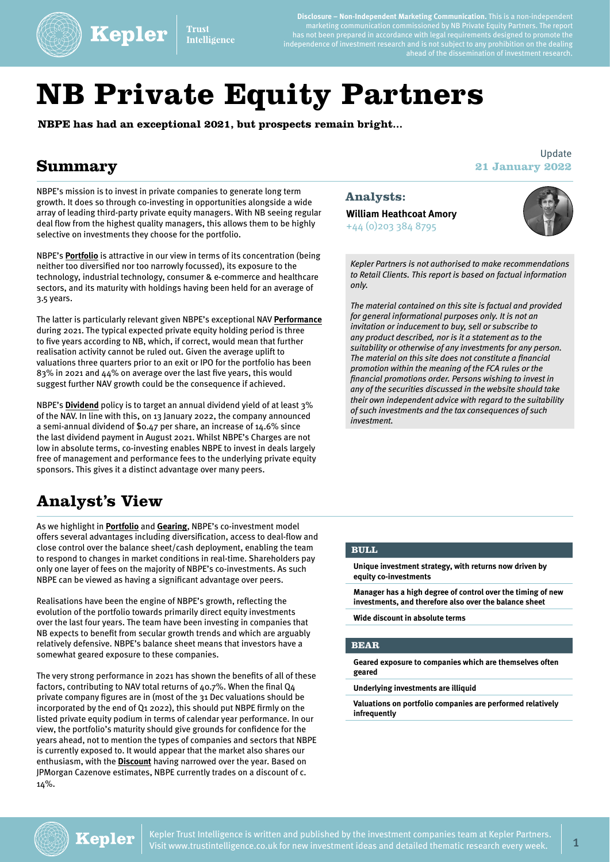

**Kepler Trust** Intelligence

**Disclosure – Non-Independent Marketing Communication.** This is a non-independent marketing communication commissioned by NB Private Equity Partners. The report has not been prepared in accordance with legal requirements designed to promote the independence of investment research and is not subject to any prohibition on the dealing rahu is not subject to any prombition on the dealing<br>ahead of the dissemination of investment research.

# **NB Private Equity Partners**

**NBPE has had an exceptional 2021, but prospects remain bright...**

### **Summary**

NBPE's mission is to invest in private companies to generate long term growth. It does so through co-investing in opportunities alongside a wide array of leading third-party private equity managers. With NB seeing regular deal flow from the highest quality managers, this allows them to be highly selective on investments they choose for the portfolio.

NBPE's **[Portfolio](https://www.trustintelligence.co.uk/investor/articles/fund-research-investor-nb-private-equity-partners-retail-jan-2022/portfolio)** is attractive in our view in terms of its concentration (being neither too diversified nor too narrowly focussed), its exposure to the technology, industrial technology, consumer & e-commerce and healthcare sectors, and its maturity with holdings having been held for an average of 3.5 years.

The latter is particularly relevant given NBPE's exceptional NAV **[Performance](https://www.trustintelligence.co.uk/investor/articles/fund-research-investor-nb-private-equity-partners-retail-jan-2022/returns)** during 2021. The typical expected private equity holding period is three to five years according to NB, which, if correct, would mean that further realisation activity cannot be ruled out. Given the average uplift to valuations three quarters prior to an exit or IPO for the portfolio has been 83% in 2021 and 44% on average over the last five years, this would suggest further NAV growth could be the consequence if achieved.

NBPE's **[Dividend](https://www.trustintelligence.co.uk/investor/articles/fund-research-investor-nb-private-equity-partners-retail-jan-2022/dividend)** policy is to target an annual dividend yield of at least 3% of the NAV. In line with this, on 13 January 2022, the company announced a semi-annual dividend of \$0.47 per share, an increase of 14.6% since the last dividend payment in August 2021. Whilst NBPE's Charges are not low in absolute terms, co-investing enables NBPE to invest in deals largely free of management and performance fees to the underlying private equity sponsors. This gives it a distinct advantage over many peers.

# **Analyst's View**

As we highlight in **[Portfolio](https://www.trustintelligence.co.uk/investor/articles/fund-research-investor-nb-private-equity-partners-retail-jan-2022/portfolio)** and **[Gearing](https://www.trustintelligence.co.uk/investor/articles/fund-research-investor-nb-private-equity-partners-retail-jan-2022/gearing)**, NBPE's co-investment model offers several advantages including diversification, access to deal-flow and close control over the balance sheet/cash deployment, enabling the team to respond to changes in market conditions in real-time. Shareholders pay only one layer of fees on the majority of NBPE's co-investments. As such NBPE can be viewed as having a significant advantage over peers.

Realisations have been the engine of NBPE's growth, reflecting the evolution of the portfolio towards primarily direct equity investments over the last four years. The team have been investing in companies that NB expects to benefit from secular growth trends and which are arguably relatively defensive. NBPE's balance sheet means that investors have a somewhat geared exposure to these companies.

The very strong performance in 2021 has shown the benefits of all of these factors, contributing to NAV total returns of 40.7%. When the final Q4 private company figures are in (most of the 31 Dec valuations should be incorporated by the end of Q1 2022), this should put NBPE firmly on the listed private equity podium in terms of calendar year performance. In our view, the portfolio's maturity should give grounds for confidence for the years ahead, not to mention the types of companies and sectors that NBPE is currently exposed to. It would appear that the market also shares our enthusiasm, with the **[Discount](https://www.trustintelligence.co.uk/investor/articles/fund-research-investor-nb-private-equity-partners-retail-jan-2022/discount)** having narrowed over the year. Based on JPMorgan Cazenove estimates, NBPE currently trades on a discount of c. 14%.

#### **Analysts:**

**William Heathcoat Amory**  +44 (0)203 384 8795



**21 January 2022**

Update

*Kepler Partners is not authorised to make recommendations to Retail Clients. This report is based on factual information only.* 

*The material contained on this site is factual and provided for general informational purposes only. It is not an invitation or inducement to buy, sell or subscribe to any product described, nor is it a statement as to the suitability or otherwise of any investments for any person. The material on this site does not constitute a financial promotion within the meaning of the FCA rules or the financial promotions order. Persons wishing to invest in any of the securities discussed in the website should take their own independent advice with regard to the suitability of such investments and the tax consequences of such investment.* 

#### **BULL**

**Unique investment strategy, with returns now driven by equity co-investments**

**Manager has a high degree of control over the timing of new investments, and therefore also over the balance sheet**

**Wide discount in absolute terms**

#### **BEAR**

**Geared exposure to companies which are themselves often geared**

**Underlying investments are illiquid**

**Valuations on portfolio companies are performed relatively infrequently**

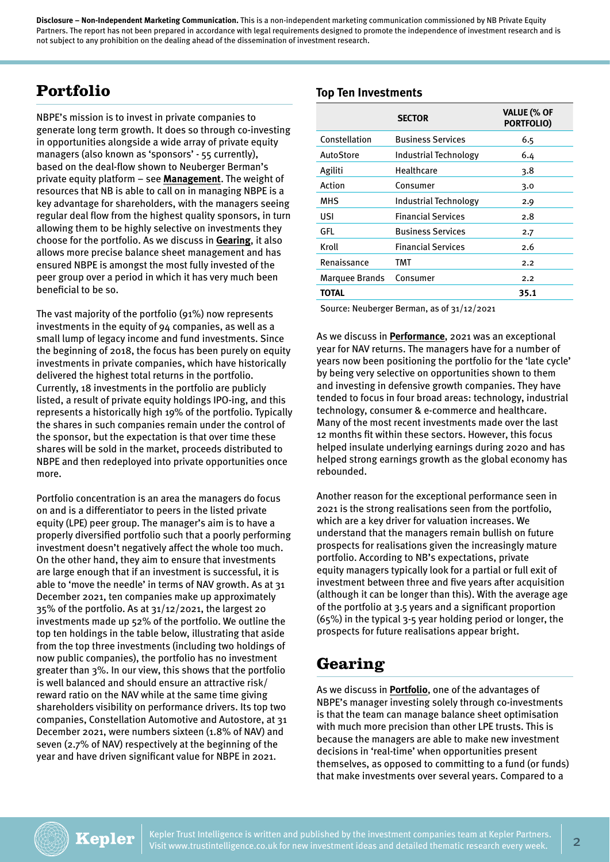# **Portfolio**

NBPE's mission is to invest in private companies to generate long term growth. It does so through co-investing in opportunities alongside a wide array of private equity managers (also known as 'sponsors' - 55 currently), based on the deal-flow shown to Neuberger Berman's private equity platform – see **[Management](https://www.trustintelligence.co.uk/investor/articles/fund-research-investor-nb-private-equity-partners-retail-jan-2022/management)**. The weight of resources that NB is able to call on in managing NBPE is a key advantage for shareholders, with the managers seeing regular deal flow from the highest quality sponsors, in turn allowing them to be highly selective on investments they choose for the portfolio. As we discuss in **[Gearing](https://www.trustintelligence.co.uk/investor/articles/fund-research-investor-nb-private-equity-partners-retail-jan-2022/gearing)**, it also allows more precise balance sheet management and has ensured NBPE is amongst the most fully invested of the peer group over a period in which it has very much been beneficial to be so.

The vast majority of the portfolio (91%) now represents investments in the equity of 94 companies, as well as a small lump of legacy income and fund investments. Since the beginning of 2018, the focus has been purely on equity investments in private companies, which have historically delivered the highest total returns in the portfolio. Currently, 18 investments in the portfolio are publicly listed, a result of private equity holdings IPO-ing, and this represents a historically high 19% of the portfolio. Typically the shares in such companies remain under the control of the sponsor, but the expectation is that over time these shares will be sold in the market, proceeds distributed to NBPE and then redeployed into private opportunities once more.

Portfolio concentration is an area the managers do focus on and is a differentiator to peers in the listed private equity (LPE) peer group. The manager's aim is to have a properly diversified portfolio such that a poorly performing investment doesn't negatively affect the whole too much. On the other hand, they aim to ensure that investments are large enough that if an investment is successful, it is able to 'move the needle' in terms of NAV growth. As at 31 December 2021, ten companies make up approximately 35% of the portfolio. As at 31/12/2021, the largest 20 investments made up 52% of the portfolio. We outline the top ten holdings in the table below, illustrating that aside from the top three investments (including two holdings of now public companies), the portfolio has no investment greater than 3%. In our view, this shows that the portfolio is well balanced and should ensure an attractive risk/ reward ratio on the NAV while at the same time giving shareholders visibility on performance drivers. Its top two companies, Constellation Automotive and Autostore, at 31 December 2021, were numbers sixteen (1.8% of NAV) and seven (2.7% of NAV) respectively at the beginning of the year and have driven significant value for NBPE in 2021.

#### **Top Ten Investments**

|                | <b>SECTOR</b>                | <b>VALUE (% OF</b><br><b>PORTFOLIO)</b> |
|----------------|------------------------------|-----------------------------------------|
| Constellation  | <b>Business Services</b>     | 6.5                                     |
| AutoStore      | Industrial Technology        | 6.4                                     |
| Agiliti        | Healthcare                   | 3.8                                     |
| Action         | Consumer                     | 3.0                                     |
| MHS            | <b>Industrial Technology</b> | 2.9                                     |
| USI            | <b>Financial Services</b>    | 2.8                                     |
| GFL            | <b>Business Services</b>     | 2.7                                     |
| Kroll          | <b>Financial Services</b>    | 2.6                                     |
| Renaissance    | TMT                          | 2.2                                     |
| Marquee Brands | Consumer                     | 2.2                                     |
| <b>TOTAL</b>   |                              | 35.1                                    |
|                |                              |                                         |

Source: Neuberger Berman, as of 31/12/2021

As we discuss in **[Performance](https://www.trustintelligence.co.uk/investor/articles/fund-research-investor-nb-private-equity-partners-retail-jan-2022/returns)**, 2021 was an exceptional year for NAV returns. The managers have for a number of years now been positioning the portfolio for the 'late cycle' by being very selective on opportunities shown to them and investing in defensive growth companies. They have tended to focus in four broad areas: technology, industrial technology, consumer & e-commerce and healthcare. Many of the most recent investments made over the last 12 months fit within these sectors. However, this focus helped insulate underlying earnings during 2020 and has helped strong earnings growth as the global economy has rebounded.

Another reason for the exceptional performance seen in 2021 is the strong realisations seen from the portfolio, which are a key driver for valuation increases. We understand that the managers remain bullish on future prospects for realisations given the increasingly mature portfolio. According to NB's expectations, private equity managers typically look for a partial or full exit of investment between three and five years after acquisition (although it can be longer than this). With the average age of the portfolio at 3.5 years and a significant proportion (65%) in the typical 3-5 year holding period or longer, the prospects for future realisations appear bright.

# **Gearing**

As we discuss in **[Portfolio](https://www.trustintelligence.co.uk/investor/articles/fund-research-investor-nb-private-equity-partners-retail-jan-2022/portfolio)**, one of the advantages of NBPE's manager investing solely through co-investments is that the team can manage balance sheet optimisation with much more precision than other LPE trusts. This is because the managers are able to make new investment decisions in 'real-time' when opportunities present themselves, as opposed to committing to a fund (or funds) that make investments over several years. Compared to a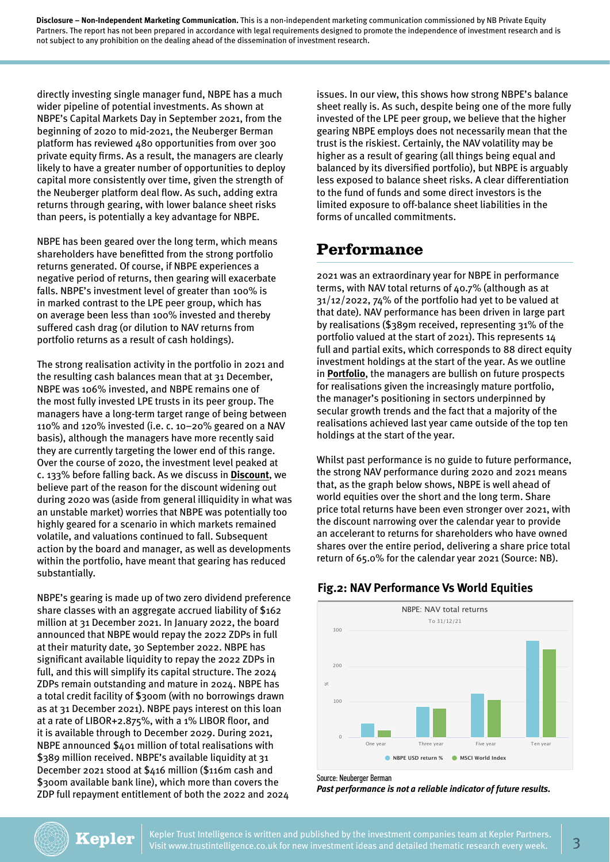directly investing single manager fund, NBPE has a much wider pipeline of potential investments. As shown at NBPE's Capital Markets Day in September 2021, from the beginning of 2020 to mid-2021, the Neuberger Berman platform has reviewed 480 opportunities from over 300 private equity firms. As a result, the managers are clearly likely to have a greater number of opportunities to deploy capital more consistently over time, given the strength of the Neuberger platform deal flow. As such, adding extra returns through gearing, with lower balance sheet risks than peers, is potentially a key advantage for NBPE.

NBPE has been geared over the long term, which means shareholders have benefitted from the strong portfolio returns generated. Of course, if NBPE experiences a negative period of returns, then gearing will exacerbate falls. NBPE's investment level of greater than 100% is in marked contrast to the LPE peer group, which has on average been less than 100% invested and thereby suffered cash drag (or dilution to NAV returns from portfolio returns as a result of cash holdings).

The strong realisation activity in the portfolio in 2021 and the resulting cash balances mean that at 31 December, NBPE was 106% invested, and NBPE remains one of the most fully invested LPE trusts in its peer group. The managers have a long-term target range of being between 110% and 120% invested (i.e. c. 10–20% geared on a NAV basis), although the managers have more recently said they are currently targeting the lower end of this range. Over the course of 2020, the investment level peaked at c. 133% before falling back. As we discuss in **[Discount](https://www.trustintelligence.co.uk/investor/articles/fund-research-investor-nb-private-equity-partners-retail-jan-2022/discount)**, we believe part of the reason for the discount widening out during 2020 was (aside from general illiquidity in what was an unstable market) worries that NBPE was potentially too highly geared for a scenario in which markets remained volatile, and valuations continued to fall. Subsequent action by the board and manager, as well as developments within the portfolio, have meant that gearing has reduced substantially.

NBPE's gearing is made up of two zero dividend preference share classes with an aggregate accrued liability of \$162 million at 31 December 2021. In January 2022, the board announced that NBPE would repay the 2022 ZDPs in full at their maturity date, 30 September 2022. NBPE has significant available liquidity to repay the 2022 ZDPs in full, and this will simplify its capital structure. The 2024 ZDPs remain outstanding and mature in 2024. NBPE has a total credit facility of \$300m (with no borrowings drawn as at 31 December 2021). NBPE pays interest on this loan at a rate of LIBOR+2.875%, with a 1% LIBOR floor, and it is available through to December 2029. During 2021, NBPE announced \$401 million of total realisations with \$389 million received. NBPE's available liquidity at 31 December 2021 stood at \$416 million (\$116m cash and \$300m available bank line), which more than covers the ZDP full repayment entitlement of both the 2022 and 2024

issues. In our view, this shows how strong NBPE's balance sheet really is. As such, despite being one of the more fully invested of the LPE peer group, we believe that the higher gearing NBPE employs does not necessarily mean that the trust is the riskiest. Certainly, the NAV volatility may be higher as a result of gearing (all things being equal and balanced by its diversified portfolio), but NBPE is arguably less exposed to balance sheet risks. A clear differentiation to the fund of funds and some direct investors is the limited exposure to off-balance sheet liabilities in the forms of uncalled commitments.

### **Performance**

2021 was an extraordinary year for NBPE in performance terms, with NAV total returns of 40.7% (although as at 31/12/2022, 74% of the portfolio had yet to be valued at that date). NAV performance has been driven in large part by realisations (\$389m received, representing 31% of the portfolio valued at the start of 2021). This represents 14 full and partial exits, which corresponds to 88 direct equity investment holdings at the start of the year. As we outline in **[Portfolio](https://www.trustintelligence.co.uk/investor/articles/fund-research-investor-nb-private-equity-partners-retail-jan-2022/portfolio)**, the managers are bullish on future prospects for realisations given the increasingly mature portfolio, the manager's positioning in sectors underpinned by secular growth trends and the fact that a majority of the realisations achieved last year came outside of the top ten holdings at the start of the year.

Whilst past performance is no guide to future performance, the strong NAV performance during 2020 and 2021 means that, as the graph below shows, NBPE is well ahead of world equities over the short and the long term. Share price total returns have been even stronger over 2021, with the discount narrowing over the calendar year to provide an accelerant to returns for shareholders who have owned shares over the entire period, delivering a share price total return of 65.0% for the calendar year 2021 (Source: NB).

#### **Fig.2: NAV Performance Vs World Equities**



Source: Neuberger Berman

*Past performance is not a reliable indicator of future results.*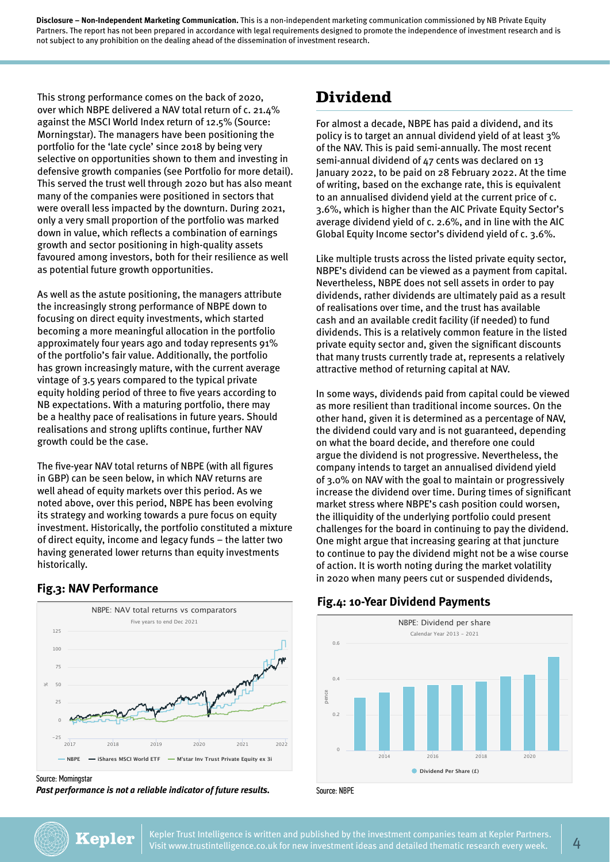This strong performance comes on the back of 2020, over which NBPE delivered a NAV total return of c. 21.4% against the MSCI World Index return of 12.5% (Source: Morningstar). The managers have been positioning the portfolio for the 'late cycle' since 2018 by being very selective on opportunities shown to them and investing in defensive growth companies (see Portfolio for more detail). This served the trust well through 2020 but has also meant many of the companies were positioned in sectors that were overall less impacted by the downturn. During 2021, only a very small proportion of the portfolio was marked down in value, which reflects a combination of earnings growth and sector positioning in high-quality assets favoured among investors, both for their resilience as well as potential future growth opportunities.

As well as the astute positioning, the managers attribute the increasingly strong performance of NBPE down to focusing on direct equity investments, which started becoming a more meaningful allocation in the portfolio approximately four years ago and today represents 91% of the portfolio's fair value. Additionally, the portfolio has grown increasingly mature, with the current average vintage of 3.5 years compared to the typical private equity holding period of three to five years according to NB expectations. With a maturing portfolio, there may be a healthy pace of realisations in future years. Should realisations and strong uplifts continue, further NAV growth could be the case.

The five-year NAV total returns of NBPE (with all figures in GBP) can be seen below, in which NAV returns are well ahead of equity markets over this period. As we noted above, over this period, NBPE has been evolving its strategy and working towards a pure focus on equity investment. Historically, the portfolio constituted a mixture of direct equity, income and legacy funds – the latter two having generated lower returns than equity investments historically.

#### **Fig.3: NAV Performance**



Source: Morningstar

*Past performance is not a reliable indicator of future results.*

### **Dividend**

For almost a decade, NBPE has paid a dividend, and its policy is to target an annual dividend yield of at least 3% of the NAV. This is paid semi-annually. The most recent semi-annual dividend of 47 cents was declared on 13 January 2022, to be paid on 28 February 2022. At the time of writing, based on the exchange rate, this is equivalent to an annualised dividend yield at the current price of c. 3.6%, which is higher than the AIC Private Equity Sector's average dividend yield of c. 2.6%, and in line with the AIC Global Equity Income sector's dividend yield of c. 3.6%.

Like multiple trusts across the listed private equity sector, NBPE's dividend can be viewed as a payment from capital. Nevertheless, NBPE does not sell assets in order to pay dividends, rather dividends are ultimately paid as a result of realisations over time, and the trust has available cash and an available credit facility (if needed) to fund dividends. This is a relatively common feature in the listed private equity sector and, given the significant discounts that many trusts currently trade at, represents a relatively attractive method of returning capital at NAV.

In some ways, dividends paid from capital could be viewed as more resilient than traditional income sources. On the other hand, given it is determined as a percentage of NAV, the dividend could vary and is not guaranteed, depending on what the board decide, and therefore one could argue the dividend is not progressive. Nevertheless, the company intends to target an annualised dividend yield of 3.0% on NAV with the goal to maintain or progressively increase the dividend over time. During times of significant market stress where NBPE's cash position could worsen, the illiquidity of the underlying portfolio could present challenges for the board in continuing to pay the dividend. One might argue that increasing gearing at that juncture to continue to pay the dividend might not be a wise course of action. It is worth noting during the market volatility in 2020 when many peers cut or suspended dividends,

#### **Fig.4: 10-Year Dividend Payments**



Source: NBPE



Kepler Trust Intelligence is written and published by the investment companies team at Kepler Partners. Visit www.trustintelligence.co.uk for new investment ideas and detailed thematic research every week.  $\vert 4$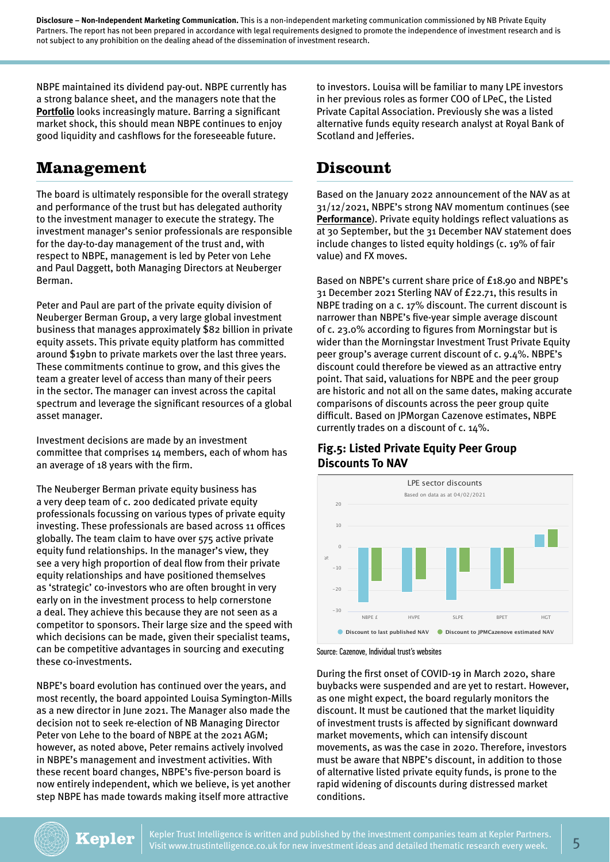NBPE maintained its dividend pay-out. NBPE currently has a strong balance sheet, and the managers note that the **[Portfolio](https://www.trustintelligence.co.uk/investor/articles/fund-research-investor-nb-private-equity-partners-retail-jan-2022/portfolio)** looks increasingly mature. Barring a significant market shock, this should mean NBPE continues to enjoy good liquidity and cashflows for the foreseeable future.

#### **Management**

The board is ultimately responsible for the overall strategy and performance of the trust but has delegated authority to the investment manager to execute the strategy. The investment manager's senior professionals are responsible for the day-to-day management of the trust and, with respect to NBPE, management is led by Peter von Lehe and Paul Daggett, both Managing Directors at Neuberger Berman.

Peter and Paul are part of the private equity division of Neuberger Berman Group, a very large global investment business that manages approximately \$82 billion in private equity assets. This private equity platform has committed around \$19bn to private markets over the last three years. These commitments continue to grow, and this gives the team a greater level of access than many of their peers in the sector. The manager can invest across the capital spectrum and leverage the significant resources of a global asset manager.

Investment decisions are made by an investment committee that comprises 14 members, each of whom has an average of 18 years with the firm.

The Neuberger Berman private equity business has a very deep team of c. 200 dedicated private equity professionals focussing on various types of private equity investing. These professionals are based across 11 offices globally. The team claim to have over 575 active private equity fund relationships. In the manager's view, they see a very high proportion of deal flow from their private equity relationships and have positioned themselves as 'strategic' co-investors who are often brought in very early on in the investment process to help cornerstone a deal. They achieve this because they are not seen as a competitor to sponsors. Their large size and the speed with which decisions can be made, given their specialist teams, can be competitive advantages in sourcing and executing these co-investments.

NBPE's board evolution has continued over the years, and most recently, the board appointed Louisa Symington-Mills as a new director in June 2021. The Manager also made the decision not to seek re-election of NB Managing Director Peter von Lehe to the board of NBPE at the 2021 AGM; however, as noted above, Peter remains actively involved in NBPE's management and investment activities. With these recent board changes, NBPE's five-person board is now entirely independent, which we believe, is yet another step NBPE has made towards making itself more attractive

to investors. Louisa will be familiar to many LPE investors in her previous roles as former COO of LPeC, the Listed Private Capital Association. Previously she was a listed alternative funds equity research analyst at Royal Bank of Scotland and Jefferies.

### **Discount**

Based on the January 2022 announcement of the NAV as at 31/12/2021, NBPE's strong NAV momentum continues (see **[Performance](https://www.trustintelligence.co.uk/investor/articles/fund-research-investor-nb-private-equity-partners-retail-jan-2022/returns)**). Private equity holdings reflect valuations as at 30 September, but the 31 December NAV statement does include changes to listed equity holdings (c. 19% of fair value) and FX moves.

Based on NBPE's current share price of £18.90 and NBPE's 31 December 2021 Sterling NAV of £22.71, this results in NBPE trading on a c. 17% discount. The current discount is narrower than NBPE's five-year simple average discount of c. 23.0% according to figures from Morningstar but is wider than the Morningstar Investment Trust Private Equity peer group's average current discount of c. 9.4%. NBPE's discount could therefore be viewed as an attractive entry point. That said, valuations for NBPE and the peer group are historic and not all on the same dates, making accurate comparisons of discounts across the peer group quite difficult. Based on JPMorgan Cazenove estimates, NBPE currently trades on a discount of c. 14%.

#### **Fig.5: Listed Private Equity Peer Group Discounts To NAV**



Source: Cazenove, Individual trust's websites

During the first onset of COVID-19 in March 2020, share buybacks were suspended and are yet to restart. However, as one might expect, the board regularly monitors the discount. It must be cautioned that the market liquidity of investment trusts is affected by significant downward market movements, which can intensify discount movements, as was the case in 2020. Therefore, investors must be aware that NBPE's discount, in addition to those of alternative listed private equity funds, is prone to the rapid widening of discounts during distressed market conditions.

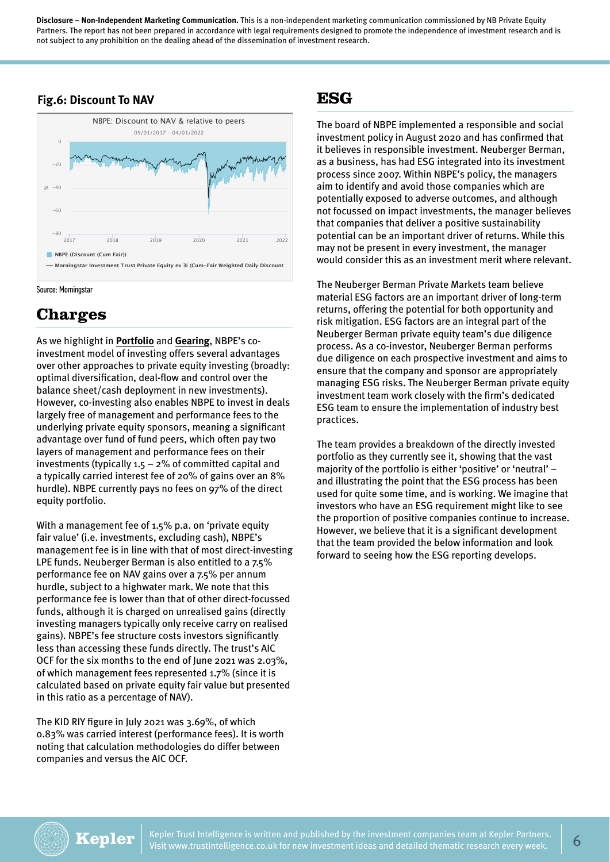#### **Fig.6: Discount To NAV**





# **Charges**

As we highlight in **[Portfolio](https://www.trustintelligence.co.uk/investor/articles/fund-research-investor-nb-private-equity-partners-retail-jan-2022/portfolio)** and **[Gearing](https://www.trustintelligence.co.uk/investor/articles/fund-research-investor-nb-private-equity-partners-retail-jan-2022/gearing)**, NBPE's coinvestment model of investing offers several advantages over other approaches to private equity investing (broadly: optimal diversification, deal-flow and control over the balance sheet/cash deployment in new investments). However, co-investing also enables NBPE to invest in deals largely free of management and performance fees to the underlying private equity sponsors, meaning a significant advantage over fund of fund peers, which often pay two layers of management and performance fees on their investments (typically 1.5 – 2% of committed capital and a typically carried interest fee of 20% of gains over an 8% hurdle). NBPE currently pays no fees on 97% of the direct equity portfolio.

With a management fee of 1.5% p.a. on 'private equity fair value' (i.e. investments, excluding cash), NBPE's management fee is in line with that of most direct-investing LPE funds. Neuberger Berman is also entitled to a 7.5% performance fee on NAV gains over a 7.5% per annum hurdle, subject to a highwater mark. We note that this performance fee is lower than that of other direct-focussed funds, although it is charged on unrealised gains (directly investing managers typically only receive carry on realised gains). NBPE's fee structure costs investors significantly less than accessing these funds directly. The trust's AIC OCF for the six months to the end of June 2021 was 2.03%, of which management fees represented 1.7% (since it is calculated based on private equity fair value but presented in this ratio as a percentage of NAV).

The KID RIY figure in July 2021 was 3.69%, of which 0.83% was carried interest (performance fees). It is worth noting that calculation methodologies do differ between companies and versus the AIC OCF.

### **ESG**

The board of NBPE implemented a responsible and social investment policy in August 2020 and has confirmed that it believes in responsible investment. Neuberger Berman, as a business, has had ESG integrated into its investment process since 2007. Within NBPE's policy, the managers aim to identify and avoid those companies which are potentially exposed to adverse outcomes, and although not focussed on impact investments, the manager believes that companies that deliver a positive sustainability potential can be an important driver of returns. While this may not be present in every investment, the manager would consider this as an investment merit where relevant.

The Neuberger Berman Private Markets team believe material ESG factors are an important driver of long-term returns, offering the potential for both opportunity and risk mitigation. ESG factors are an integral part of the Neuberger Berman private equity team's due diligence process. As a co-investor, Neuberger Berman performs due diligence on each prospective investment and aims to ensure that the company and sponsor are appropriately managing ESG risks. The Neuberger Berman private equity investment team work closely with the firm's dedicated ESG team to ensure the implementation of industry best practices.

The team provides a breakdown of the directly invested portfolio as they currently see it, showing that the vast majority of the portfolio is either 'positive' or 'neutral' – and illustrating the point that the ESG process has been used for quite some time, and is working. We imagine that investors who have an ESG requirement might like to see the proportion of positive companies continue to increase. However, we believe that it is a significant development that the team provided the below information and look forward to seeing how the ESG reporting develops.